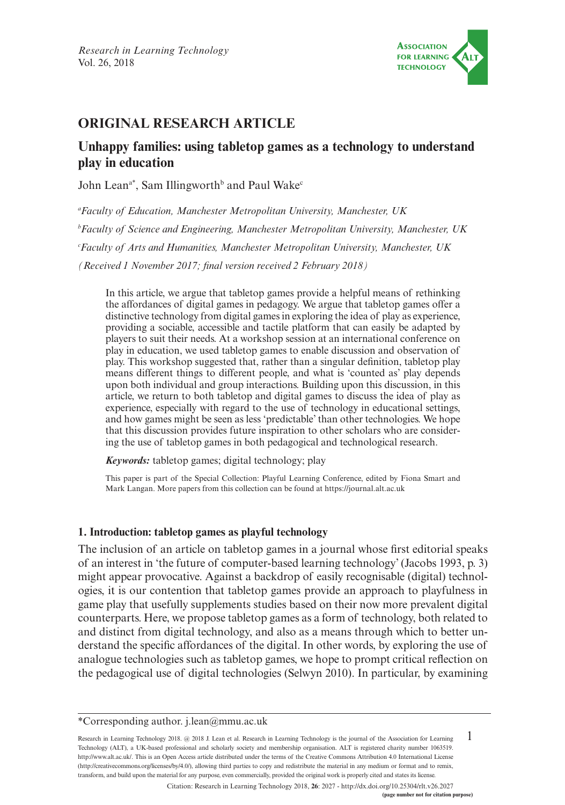

# **ORIGINAL RESEARCH ARTICLE**

# **Unhappy families: using tabletop games as a technology to understand play in education**

John Lean<sup>a\*</sup>, Sam Illingworth<sup>b</sup> and Paul Wake<sup>c</sup>

*a Faculty of Education, Manchester Metropolitan University, Manchester, UK b Faculty of Science and Engineering, Manchester Metropolitan University, Manchester, UK c Faculty of Arts and Humanities, Manchester Metropolitan University, Manchester, UK (Received 1 November 2017; final version received 2 February 2018)*

In this article, we argue that tabletop games provide a helpful means of rethinking the affordances of digital games in pedagogy. We argue that tabletop games offer a distinctive technology from digital games in exploring the idea of play as experience, providing a sociable, accessible and tactile platform that can easily be adapted by players to suit their needs. At a workshop session at an international conference on play in education, we used tabletop games to enable discussion and observation of play. This workshop suggested that, rather than a singular definition, tabletop play means different things to different people, and what is 'counted as' play depends upon both individual and group interactions. Building upon this discussion, in this article, we return to both tabletop and digital games to discuss the idea of play as experience, especially with regard to the use of technology in educational settings, and how games might be seen as less 'predictable' than other technologies. We hope that this discussion provides future inspiration to other scholars who are considering the use of tabletop games in both pedagogical and technological research.

*Keywords:* tabletop games; digital technology; play

This paper is part of the Special Collection: Playful Learning Conference, edited by Fiona Smart and Mark Langan. More papers from this collection can be found at <https://journal.alt.ac.uk>

#### **1. Introduction: tabletop games as playful technology**

The inclusion of an article on tabletop games in a journal whose first editorial speaks of an interest in 'the future of computer-based learning technology' (Jacobs 1993, p. 3) might appear provocative. Against a backdrop of easily recognisable (digital) technologies, it is our contention that tabletop games provide an approach to playfulness in game play that usefully supplements studies based on their now more prevalent digital counterparts. Here, we propose tabletop games as a form of technology, both related to and distinct from digital technology, and also as a means through which to better understand the specific affordances of the digital. In other words, by exploring the use of analogue technologies such as tabletop games, we hope to prompt critical reflection on the pedagogical use of digital technologies (Selwyn 2010). In particular, by examining

1 Research in Learning Technology 2018. @ 2018 J. Lean et al. Research in Learning Technology is the journal of the Association for Learning Technology (ALT), a UK-based professional and scholarly society and membership organisation. ALT is registered charity number 1063519. [http://www.alt.ac.uk/.](http://www.alt.ac.uk/) This is an Open Access article distributed under the terms of the Creative Commons Attribution 4.0 International License (<http://creativecommons.org/licenses/by/4.0/>), allowing third parties to copy and redistribute the material in any medium or format and to remix, transform, and build upon the material for any purpose, even commercially, provided the original work is properly cited and states its license.

Citation: Research in Learning Technology 2018, **26**: 2027 - <http://dx.doi.org/10.25304/rlt.v26.2027>

<sup>\*</sup>Corresponding author. [j.lean@mmu.ac.uk](mailto:j.lean@mmu.ac.uk)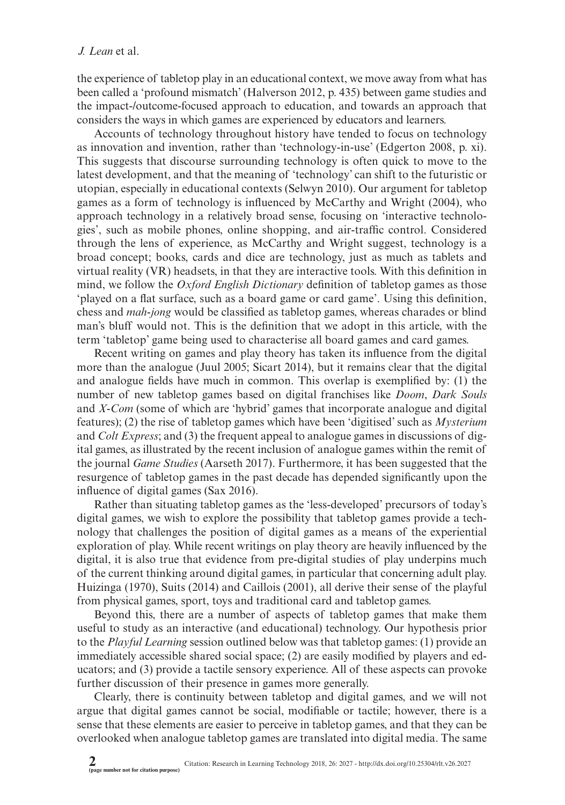the experience of tabletop play in an educational context, we move away from what has been called a 'profound mismatch' (Halverson 2012, p. 435) between game studies and the impact-/outcome-focused approach to education, and towards an approach that considers the ways in which games are experienced by educators and learners.

Accounts of technology throughout history have tended to focus on technology as innovation and invention, rather than 'technology-in-use' (Edgerton 2008, p. xi). This suggests that discourse surrounding technology is often quick to move to the latest development, and that the meaning of 'technology' can shift to the futuristic or utopian, especially in educational contexts (Selwyn 2010). Our argument for tabletop games as a form of technology is influenced by McCarthy and Wright (2004), who approach technology in a relatively broad sense, focusing on 'interactive technologies', such as mobile phones, online shopping, and air-traffic control. Considered through the lens of experience, as McCarthy and Wright suggest, technology is a broad concept; books, cards and dice are technology, just as much as tablets and virtual reality (VR) headsets, in that they are interactive tools. With this definition in mind, we follow the *Oxford English Dictionary* definition of tabletop games as those 'played on a flat surface, such as a board game or card game'. Using this definition, chess and *mah-jong* would be classified as tabletop games, whereas charades or blind man's bluff would not. This is the definition that we adopt in this article, with the term 'tabletop' game being used to characterise all board games and card games.

Recent writing on games and play theory has taken its influence from the digital more than the analogue (Juul 2005; Sicart 2014), but it remains clear that the digital and analogue fields have much in common. This overlap is exemplified by: (1) the number of new tabletop games based on digital franchises like *Doom*, *Dark Souls* and *X-Com* (some of which are 'hybrid' games that incorporate analogue and digital features); (2) the rise of tabletop games which have been 'digitised' such as *Mysterium* and *Colt Express*; and (3) the frequent appeal to analogue games in discussions of digital games, as illustrated by the recent inclusion of analogue games within the remit of the journal *Game Studies* (Aarseth 2017). Furthermore, it has been suggested that the resurgence of tabletop games in the past decade has depended significantly upon the influence of digital games (Sax 2016).

Rather than situating tabletop games as the 'less-developed' precursors of today's digital games, we wish to explore the possibility that tabletop games provide a technology that challenges the position of digital games as a means of the experiential exploration of play. While recent writings on play theory are heavily influenced by the digital, it is also true that evidence from pre-digital studies of play underpins much of the current thinking around digital games, in particular that concerning adult play. Huizinga (1970), Suits (2014) and Caillois (2001), all derive their sense of the playful from physical games, sport, toys and traditional card and tabletop games.

Beyond this, there are a number of aspects of tabletop games that make them useful to study as an interactive (and educational) technology. Our hypothesis prior to the *Playful Learning* session outlined below was that tabletop games: (1) provide an immediately accessible shared social space; (2) are easily modified by players and educators; and (3) provide a tactile sensory experience. All of these aspects can provoke further discussion of their presence in games more generally.

Clearly, there is continuity between tabletop and digital games, and we will not argue that digital games cannot be social, modifiable or tactile; however, there is a sense that these elements are easier to perceive in tabletop games, and that they can be overlooked when analogue tabletop games are translated into digital media. The same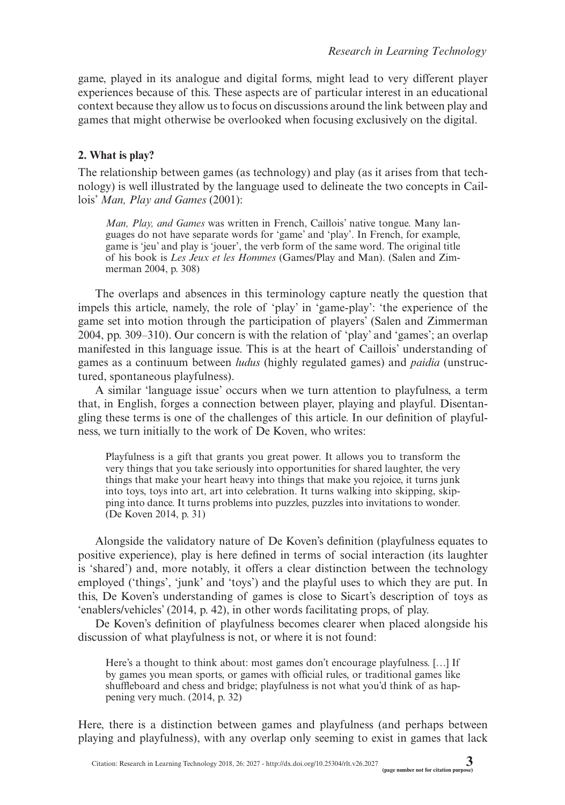game, played in its analogue and digital forms, might lead to very different player experiences because of this. These aspects are of particular interest in an educational context because they allow us to focus on discussions around the link between play and games that might otherwise be overlooked when focusing exclusively on the digital.

# **2. What is play?**

The relationship between games (as technology) and play (as it arises from that technology) is well illustrated by the language used to delineate the two concepts in Caillois' *Man, Play and Games* (2001):

*Man, Play, and Games* was written in French, Caillois' native tongue. Many languages do not have separate words for 'game' and 'play'. In French, for example, game is 'jeu' and play is 'jouer', the verb form of the same word. The original title of his book is *Les Jeux et les Hommes* (Games/Play and Man). (Salen and Zimmerman 2004, p. 308)

The overlaps and absences in this terminology capture neatly the question that impels this article, namely, the role of 'play' in 'game-play': 'the experience of the game set into motion through the participation of players' (Salen and Zimmerman 2004, pp. 309–310). Our concern is with the relation of 'play' and 'games'; an overlap manifested in this language issue. This is at the heart of Caillois' understanding of games as a continuum between *ludus* (highly regulated games) and *paidia* (unstructured, spontaneous playfulness).

A similar 'language issue' occurs when we turn attention to playfulness, a term that, in English, forges a connection between player, playing and playful. Disentangling these terms is one of the challenges of this article. In our definition of playfulness, we turn initially to the work of De Koven, who writes:

Playfulness is a gift that grants you great power. It allows you to transform the very things that you take seriously into opportunities for shared laughter, the very things that make your heart heavy into things that make you rejoice, it turns junk into toys, toys into art, art into celebration. It turns walking into skipping, skipping into dance. It turns problems into puzzles, puzzles into invitations to wonder. (De Koven 2014, p. 31)

Alongside the validatory nature of De Koven's definition (playfulness equates to positive experience), play is here defined in terms of social interaction (its laughter is 'shared') and, more notably, it offers a clear distinction between the technology employed ('things', 'junk' and 'toys') and the playful uses to which they are put. In this, De Koven's understanding of games is close to Sicart's description of toys as 'enablers/vehicles' (2014, p. 42), in other words facilitating props, of play.

De Koven's definition of playfulness becomes clearer when placed alongside his discussion of what playfulness is not, or where it is not found:

Here's a thought to think about: most games don't encourage playfulness. [...] If by games you mean sports, or games with official rules, or traditional games like shuffleboard and chess and bridge; playfulness is not what you'd think of as happening very much. (2014, p. 32)

Here, there is a distinction between games and playfulness (and perhaps between playing and playfulness), with any overlap only seeming to exist in games that lack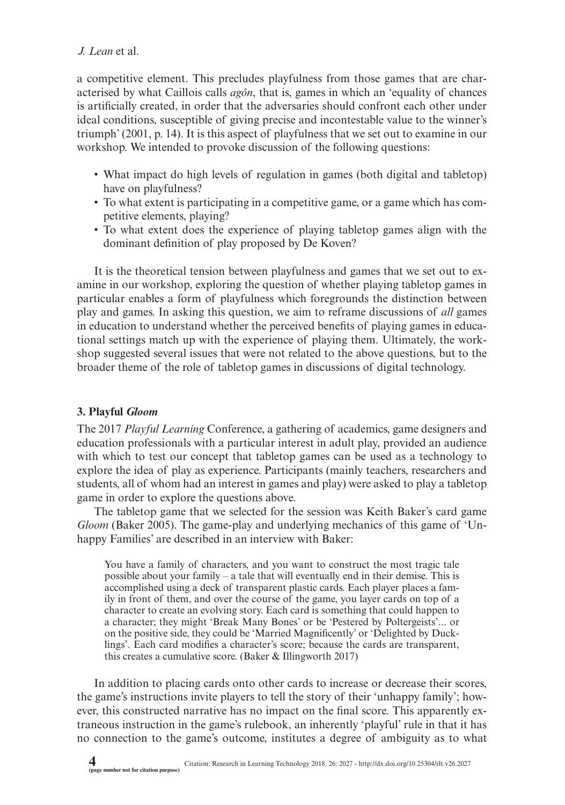a competitive element. This precludes playfulness from those games that are characterised by what Caillois calls *agôn*, that is, games in which an 'equality of chances is artificially created, in order that the adversaries should confront each other under ideal conditions, susceptible of giving precise and incontestable value to the winner's triumph' (2001, p. 14). It is this aspect of playfulness that we set out to examine in our workshop. We intended to provoke discussion of the following questions:

- What impact do high levels of regulation in games (both digital and tabletop) have on playfulness?
- To what extent is participating in a competitive game, or a game which has competitive elements, playing?
- To what extent does the experience of playing tabletop games align with the dominant definition of play proposed by De Koven?

It is the theoretical tension between playfulness and games that we set out to examine in our workshop, exploring the question of whether playing tabletop games in particular enables a form of playfulness which foregrounds the distinction between play and games. In asking this question, we aim to reframe discussions of *all* games in education to understand whether the perceived benefits of playing games in educational settings match up with the experience of playing them. Ultimately, the workshop suggested several issues that were not related to the above questions, but to the broader theme of the role of tabletop games in discussions of digital technology.

# **3. Playful** *Gloom*

The 2017 *Playful Learning* Conference, a gathering of academics, game designers and education professionals with a particular interest in adult play, provided an audience with which to test our concept that tabletop games can be used as a technology to explore the idea of play as experience. Participants (mainly teachers, researchers and students, all of whom had an interest in games and play) were asked to play a tabletop game in order to explore the questions above.

The tabletop game that we selected for the session was Keith Baker's card game *Gloom* (Baker 2005). The game-play and underlying mechanics of this game of 'Unhappy Families' are described in an interview with Baker:

You have a family of characters, and you want to construct the most tragic tale possible about your family – a tale that will eventually end in their demise. This is accomplished using a deck of transparent plastic cards. Each player places a family in front of them, and over the course of the game, you layer cards on top of a character to create an evolving story. Each card is something that could happen to a character; they might 'Break Many Bones' or be 'Pestered by Poltergeists'... or on the positive side, they could be 'Married Magnificently' or 'Delighted by Ducklings'. Each card modifies a character's score; because the cards are transparent, this creates a cumulative score. (Baker & Illingworth 2017)

In addition to placing cards onto other cards to increase or decrease their scores, the game's instructions invite players to tell the story of their 'unhappy family'; however, this constructed narrative has no impact on the final score. This apparently extraneous instruction in the game's rulebook, an inherently 'playful' rule in that it has no connection to the game's outcome, institutes a degree of ambiguity as to what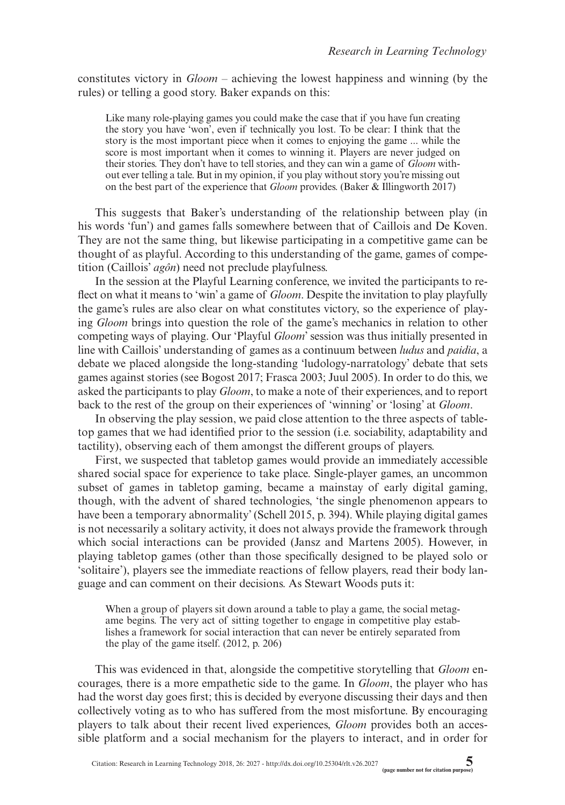constitutes victory in *Gloom* – achieving the lowest happiness and winning (by the rules) or telling a good story. Baker expands on this:

Like many role-playing games you could make the case that if you have fun creating the story you have 'won', even if technically you lost. To be clear: I think that the story is the most important piece when it comes to enjoying the game ... while the score is most important when it comes to winning it. Players are never judged on their stories. They don't have to tell stories, and they can win a game of *Gloom* without ever telling a tale. But in my opinion, if you play without story you're missing out on the best part of the experience that *Gloom* provides. (Baker & Illingworth 2017)

This suggests that Baker's understanding of the relationship between play (in his words 'fun') and games falls somewhere between that of Caillois and De Koven. They are not the same thing, but likewise participating in a competitive game can be thought of as playful. According to this understanding of the game, games of competition (Caillois' *agôn*) need not preclude playfulness.

In the session at the Playful Learning conference, we invited the participants to reflect on what it means to 'win' a game of *Gloom*. Despite the invitation to play playfully the game's rules are also clear on what constitutes victory, so the experience of playing *Gloom* brings into question the role of the game's mechanics in relation to other competing ways of playing. Our 'Playful *Gloom*' session was thus initially presented in line with Caillois' understanding of games as a continuum between *ludus* and *paidia*, a debate we placed alongside the long-standing 'ludology-narratology' debate that sets games against stories (see Bogost 2017; Frasca 2003; Juul 2005). In order to do this, we asked the participants to play *Gloom*, to make a note of their experiences, and to report back to the rest of the group on their experiences of 'winning' or 'losing' at *Gloom*.

In observing the play session, we paid close attention to the three aspects of tabletop games that we had identified prior to the session (i.e. sociability, adaptability and tactility), observing each of them amongst the different groups of players.

First, we suspected that tabletop games would provide an immediately accessible shared social space for experience to take place. Single-player games, an uncommon subset of games in tabletop gaming, became a mainstay of early digital gaming, though, with the advent of shared technologies, 'the single phenomenon appears to have been a temporary abnormality' (Schell 2015, p. 394). While playing digital games is not necessarily a solitary activity, it does not always provide the framework through which social interactions can be provided (Jansz and Martens 2005). However, in playing tabletop games (other than those specifically designed to be played solo or 'solitaire'), players see the immediate reactions of fellow players, read their body language and can comment on their decisions. As Stewart Woods puts it:

When a group of players sit down around a table to play a game, the social metagame begins. The very act of sitting together to engage in competitive play establishes a framework for social interaction that can never be entirely separated from the play of the game itself. (2012, p. 206)

This was evidenced in that, alongside the competitive storytelling that *Gloom* encourages, there is a more empathetic side to the game. In *Gloom*, the player who has had the worst day goes first; this is decided by everyone discussing their days and then collectively voting as to who has suffered from the most misfortune. By encouraging players to talk about their recent lived experiences, *Gloom* provides both an accessible platform and a social mechanism for the players to interact, and in order for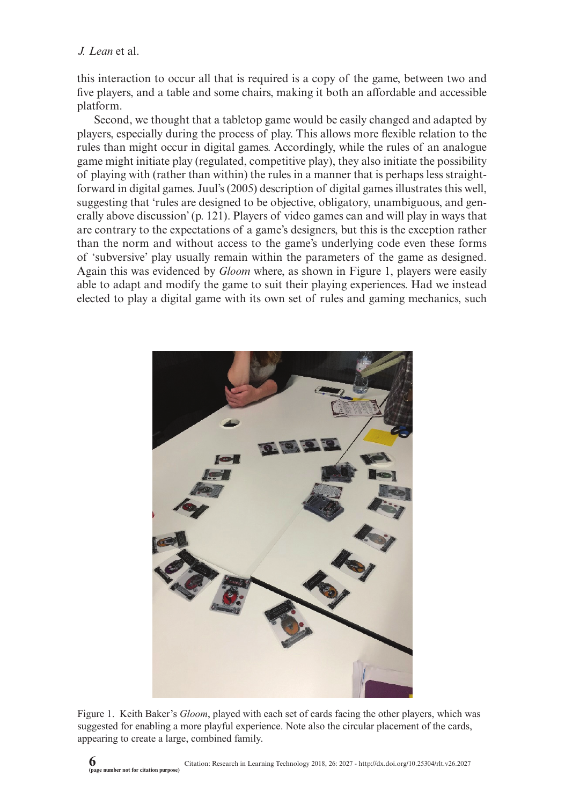this interaction to occur all that is required is a copy of the game, between two and five players, and a table and some chairs, making it both an affordable and accessible platform.

Second, we thought that a tabletop game would be easily changed and adapted by players, especially during the process of play. This allows more flexible relation to the rules than might occur in digital games. Accordingly, while the rules of an analogue game might initiate play (regulated, competitive play), they also initiate the possibility of playing with (rather than within) the rules in a manner that is perhaps less straightforward in digital games. Juul's (2005) description of digital games illustrates this well, suggesting that 'rules are designed to be objective, obligatory, unambiguous, and generally above discussion' (p. 121). Players of video games can and will play in ways that are contrary to the expectations of a game's designers, but this is the exception rather than the norm and without access to the game's underlying code even these forms of 'subversive' play usually remain within the parameters of the game as designed. Again this was evidenced by *Gloom* where, as shown in Figure 1, players were easily able to adapt and modify the game to suit their playing experiences. Had we instead elected to play a digital game with its own set of rules and gaming mechanics, such



Figure 1. Keith Baker's *Gloom*, played with each set of cards facing the other players, which was suggested for enabling a more playful experience. Note also the circular placement of the cards, appearing to create a large, combined family.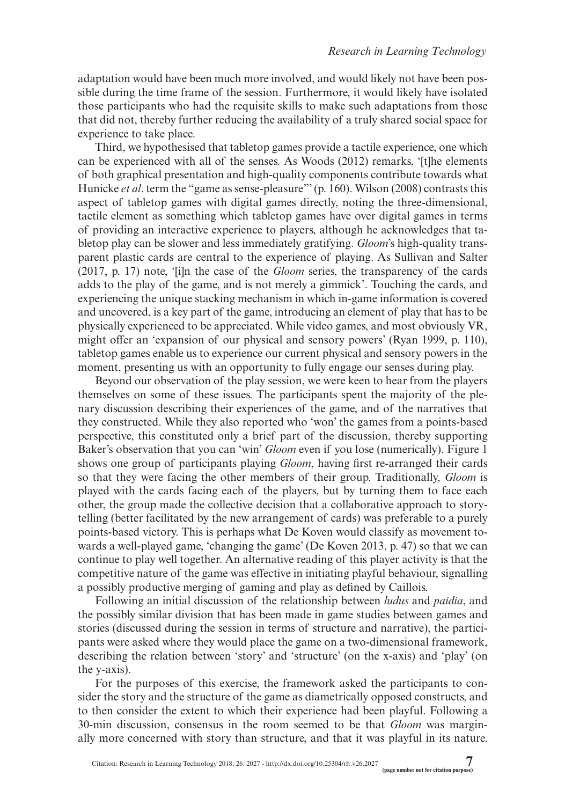adaptation would have been much more involved, and would likely not have been possible during the time frame of the session. Furthermore, it would likely have isolated those participants who had the requisite skills to make such adaptations from those that did not, thereby further reducing the availability of a truly shared social space for experience to take place.

Third, we hypothesised that tabletop games provide a tactile experience, one which can be experienced with all of the senses. As Woods (2012) remarks, '[t]he elements of both graphical presentation and high-quality components contribute towards what Hunicke *et al.* term the "game as sense-pleasure"' (p. 160). Wilson (2008) contrasts this aspect of tabletop games with digital games directly, noting the three-dimensional, tactile element as something which tabletop games have over digital games in terms of providing an interactive experience to players, although he acknowledges that tabletop play can be slower and less immediately gratifying. *Gloom*'s high-quality transparent plastic cards are central to the experience of playing. As Sullivan and Salter (2017, p. 17) note, '[i]n the case of the *Gloom* series, the transparency of the cards adds to the play of the game, and is not merely a gimmick'. Touching the cards, and experiencing the unique stacking mechanism in which in-game information is covered and uncovered, is a key part of the game, introducing an element of play that has to be physically experienced to be appreciated. While video games, and most obviously VR, might offer an 'expansion of our physical and sensory powers' (Ryan 1999, p. 110), tabletop games enable us to experience our current physical and sensory powers in the moment, presenting us with an opportunity to fully engage our senses during play.

Beyond our observation of the play session, we were keen to hear from the players themselves on some of these issues. The participants spent the majority of the plenary discussion describing their experiences of the game, and of the narratives that they constructed. While they also reported who 'won' the games from a points-based perspective, this constituted only a brief part of the discussion, thereby supporting Baker's observation that you can 'win' *Gloom* even if you lose (numerically). Figure 1 shows one group of participants playing *Gloom*, having first re-arranged their cards so that they were facing the other members of their group. Traditionally, *Gloom* is played with the cards facing each of the players, but by turning them to face each other, the group made the collective decision that a collaborative approach to storytelling (better facilitated by the new arrangement of cards) was preferable to a purely points-based victory. This is perhaps what De Koven would classify as movement towards a well-played game, 'changing the game' (De Koven 2013, p. 47) so that we can continue to play well together. An alternative reading of this player activity is that the competitive nature of the game was effective in initiating playful behaviour, signalling a possibly productive merging of gaming and play as defined by Caillois.

Following an initial discussion of the relationship between *ludus* and *paidia*, and the possibly similar division that has been made in game studies between games and stories (discussed during the session in terms of structure and narrative), the participants were asked where they would place the game on a two-dimensional framework, describing the relation between 'story' and 'structure' (on the x-axis) and 'play' (on the y-axis).

For the purposes of this exercise, the framework asked the participants to consider the story and the structure of the game as diametrically opposed constructs, and to then consider the extent to which their experience had been playful. Following a 30-min discussion, consensus in the room seemed to be that *Gloom* was marginally more concerned with story than structure, and that it was playful in its nature.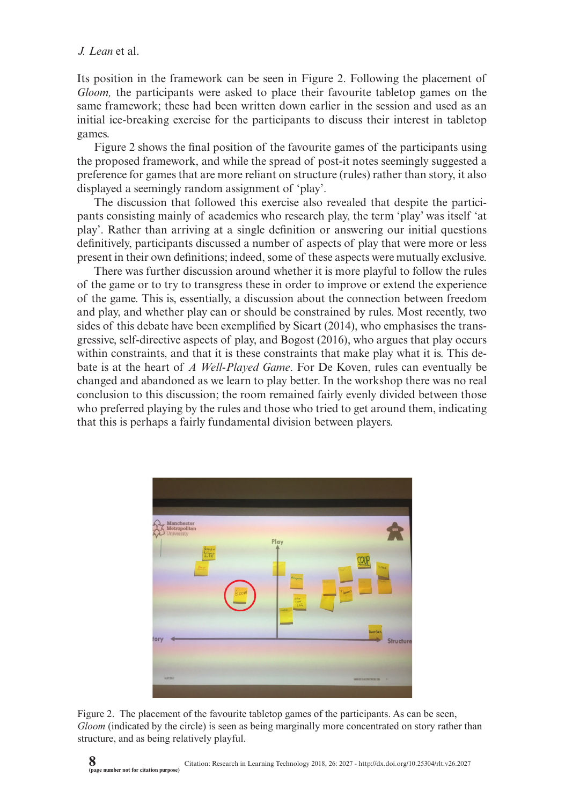Its position in the framework can be seen in Figure 2. Following the placement of *Gloom,* the participants were asked to place their favourite tabletop games on the same framework; these had been written down earlier in the session and used as an initial ice-breaking exercise for the participants to discuss their interest in tabletop games.

Figure 2 shows the final position of the favourite games of the participants using the proposed framework, and while the spread of post-it notes seemingly suggested a preference for games that are more reliant on structure (rules) rather than story, it also displayed a seemingly random assignment of 'play'.

The discussion that followed this exercise also revealed that despite the participants consisting mainly of academics who research play, the term 'play' was itself 'at play'. Rather than arriving at a single definition or answering our initial questions definitively, participants discussed a number of aspects of play that were more or less present in their own definitions; indeed, some of these aspects were mutually exclusive.

There was further discussion around whether it is more playful to follow the rules of the game or to try to transgress these in order to improve or extend the experience of the game. This is, essentially, a discussion about the connection between freedom and play, and whether play can or should be constrained by rules. Most recently, two sides of this debate have been exemplified by Sicart (2014), who emphasises the transgressive, self-directive aspects of play, and Bogost (2016), who argues that play occurs within constraints, and that it is these constraints that make play what it is. This debate is at the heart of *A Well-Played Game*. For De Koven, rules can eventually be changed and abandoned as we learn to play better. In the workshop there was no real conclusion to this discussion; the room remained fairly evenly divided between those who preferred playing by the rules and those who tried to get around them, indicating that this is perhaps a fairly fundamental division between players.



Figure 2. The placement of the favourite tabletop games of the participants. As can be seen, *Gloom* (indicated by the circle) is seen as being marginally more concentrated on story rather than structure, and as being relatively playful.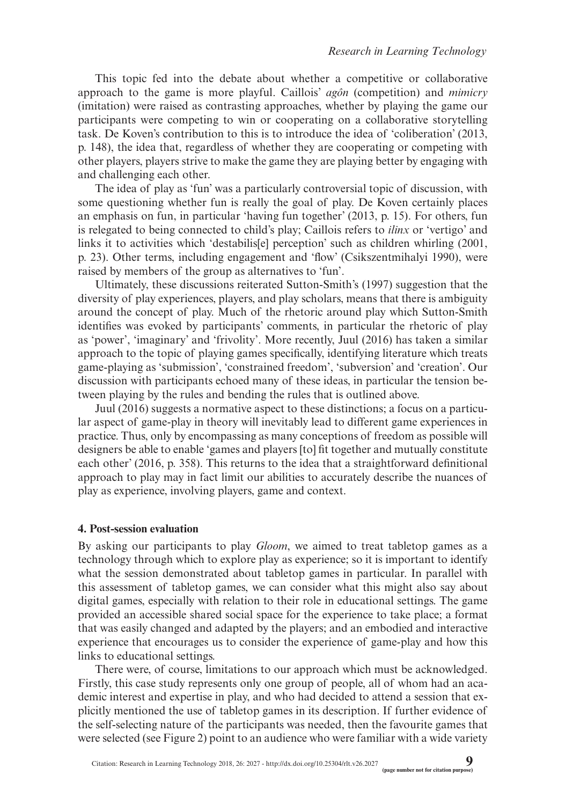This topic fed into the debate about whether a competitive or collaborative approach to the game is more playful. Caillois' *agôn* (competition) and *mimicry* (imitation) were raised as contrasting approaches, whether by playing the game our participants were competing to win or cooperating on a collaborative storytelling task. De Koven's contribution to this is to introduce the idea of 'coliberation' (2013, p. 148), the idea that, regardless of whether they are cooperating or competing with other players, players strive to make the game they are playing better by engaging with and challenging each other.

The idea of play as 'fun' was a particularly controversial topic of discussion, with some questioning whether fun is really the goal of play. De Koven certainly places an emphasis on fun, in particular 'having fun together' (2013, p. 15). For others, fun is relegated to being connected to child's play; Caillois refers to *ilinx* or 'vertigo' and links it to activities which 'destabilis<sup>[e]</sup> perception' such as children whirling (2001, p. 23). Other terms, including engagement and 'flow' (Csikszentmihalyi 1990), were raised by members of the group as alternatives to 'fun'.

Ultimately, these discussions reiterated Sutton-Smith's (1997) suggestion that the diversity of play experiences, players, and play scholars, means that there is ambiguity around the concept of play. Much of the rhetoric around play which Sutton-Smith identifies was evoked by participants' comments, in particular the rhetoric of play as 'power', 'imaginary' and 'frivolity'. More recently, Juul (2016) has taken a similar approach to the topic of playing games specifically, identifying literature which treats game-playing as 'submission', 'constrained freedom', 'subversion' and 'creation'. Our discussion with participants echoed many of these ideas, in particular the tension between playing by the rules and bending the rules that is outlined above.

Juul (2016) suggests a normative aspect to these distinctions; a focus on a particular aspect of game-play in theory will inevitably lead to different game experiences in practice. Thus, only by encompassing as many conceptions of freedom as possible will designers be able to enable 'games and players [to] fit together and mutually constitute each other' (2016, p. 358). This returns to the idea that a straightforward definitional approach to play may in fact limit our abilities to accurately describe the nuances of play as experience, involving players, game and context.

#### **4. Post-session evaluation**

By asking our participants to play *Gloom*, we aimed to treat tabletop games as a technology through which to explore play as experience; so it is important to identify what the session demonstrated about tabletop games in particular. In parallel with this assessment of tabletop games, we can consider what this might also say about digital games, especially with relation to their role in educational settings. The game provided an accessible shared social space for the experience to take place; a format that was easily changed and adapted by the players; and an embodied and interactive experience that encourages us to consider the experience of game-play and how this links to educational settings.

There were, of course, limitations to our approach which must be acknowledged. Firstly, this case study represents only one group of people, all of whom had an academic interest and expertise in play, and who had decided to attend a session that explicitly mentioned the use of tabletop games in its description. If further evidence of the self-selecting nature of the participants was needed, then the favourite games that were selected (see Figure 2) point to an audience who were familiar with a wide variety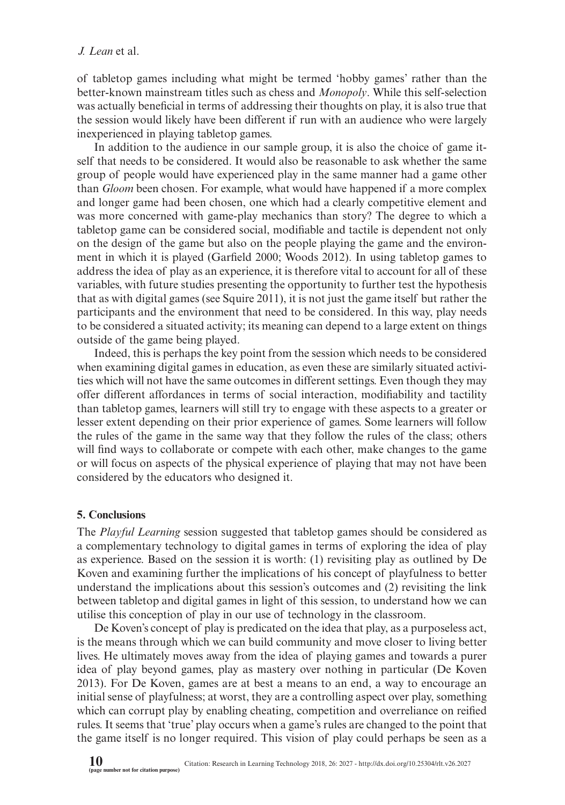of tabletop games including what might be termed 'hobby games' rather than the better-known mainstream titles such as chess and *Monopoly*. While this self-selection was actually beneficial in terms of addressing their thoughts on play, it is also true that the session would likely have been different if run with an audience who were largely inexperienced in playing tabletop games.

In addition to the audience in our sample group, it is also the choice of game itself that needs to be considered. It would also be reasonable to ask whether the same group of people would have experienced play in the same manner had a game other than *Gloom* been chosen. For example, what would have happened if a more complex and longer game had been chosen, one which had a clearly competitive element and was more concerned with game-play mechanics than story? The degree to which a tabletop game can be considered social, modifiable and tactile is dependent not only on the design of the game but also on the people playing the game and the environment in which it is played (Garfield 2000; Woods 2012). In using tabletop games to address the idea of play as an experience, it is therefore vital to account for all of these variables, with future studies presenting the opportunity to further test the hypothesis that as with digital games (see Squire 2011), it is not just the game itself but rather the participants and the environment that need to be considered. In this way, play needs to be considered a situated activity; its meaning can depend to a large extent on things outside of the game being played.

Indeed, this is perhaps the key point from the session which needs to be considered when examining digital games in education, as even these are similarly situated activities which will not have the same outcomes in different settings. Even though they may offer different affordances in terms of social interaction, modifiability and tactility than tabletop games, learners will still try to engage with these aspects to a greater or lesser extent depending on their prior experience of games. Some learners will follow the rules of the game in the same way that they follow the rules of the class; others will find ways to collaborate or compete with each other, make changes to the game or will focus on aspects of the physical experience of playing that may not have been considered by the educators who designed it.

#### **5. Conclusions**

The *Playful Learning* session suggested that tabletop games should be considered as a complementary technology to digital games in terms of exploring the idea of play as experience. Based on the session it is worth: (1) revisiting play as outlined by De Koven and examining further the implications of his concept of playfulness to better understand the implications about this session's outcomes and (2) revisiting the link between tabletop and digital games in light of this session, to understand how we can utilise this conception of play in our use of technology in the classroom.

De Koven's concept of play is predicated on the idea that play, as a purposeless act, is the means through which we can build community and move closer to living better lives. He ultimately moves away from the idea of playing games and towards a purer idea of play beyond games, play as mastery over nothing in particular (De Koven 2013). For De Koven, games are at best a means to an end, a way to encourage an initial sense of playfulness; at worst, they are a controlling aspect over play, something which can corrupt play by enabling cheating, competition and overreliance on reified rules. It seems that 'true' play occurs when a game's rules are changed to the point that the game itself is no longer required. This vision of play could perhaps be seen as a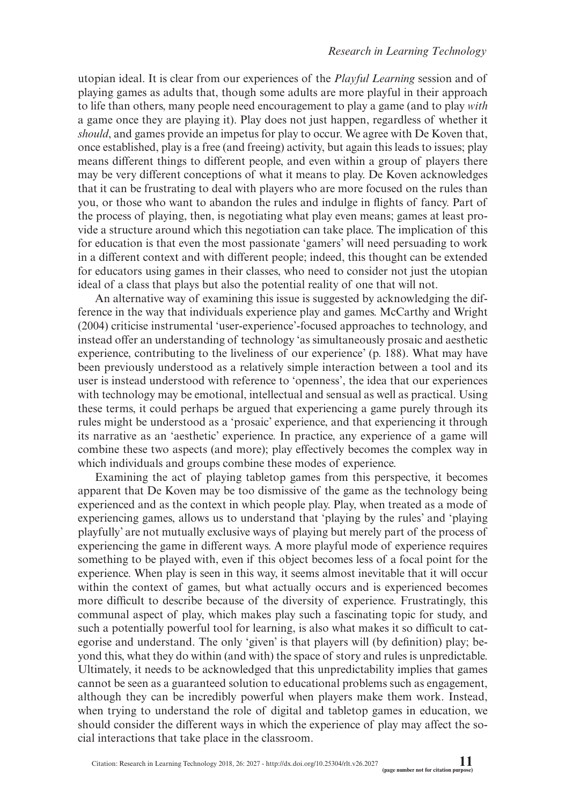utopian ideal. It is clear from our experiences of the *Playful Learning* session and of playing games as adults that, though some adults are more playful in their approach to life than others, many people need encouragement to play a game (and to play *with* a game once they are playing it). Play does not just happen, regardless of whether it *should*, and games provide an impetus for play to occur. We agree with De Koven that, once established, play is a free (and freeing) activity, but again this leads to issues; play means different things to different people, and even within a group of players there may be very different conceptions of what it means to play. De Koven acknowledges that it can be frustrating to deal with players who are more focused on the rules than you, or those who want to abandon the rules and indulge in flights of fancy. Part of the process of playing, then, is negotiating what play even means; games at least provide a structure around which this negotiation can take place. The implication of this for education is that even the most passionate 'gamers' will need persuading to work in a different context and with different people; indeed, this thought can be extended for educators using games in their classes, who need to consider not just the utopian ideal of a class that plays but also the potential reality of one that will not.

An alternative way of examining this issue is suggested by acknowledging the difference in the way that individuals experience play and games. McCarthy and Wright (2004) criticise instrumental 'user-experience'-focused approaches to technology, and instead offer an understanding of technology 'as simultaneously prosaic and aesthetic experience, contributing to the liveliness of our experience' (p. 188). What may have been previously understood as a relatively simple interaction between a tool and its user is instead understood with reference to 'openness', the idea that our experiences with technology may be emotional, intellectual and sensual as well as practical. Using these terms, it could perhaps be argued that experiencing a game purely through its rules might be understood as a 'prosaic' experience, and that experiencing it through its narrative as an 'aesthetic' experience. In practice, any experience of a game will combine these two aspects (and more); play effectively becomes the complex way in which individuals and groups combine these modes of experience.

Examining the act of playing tabletop games from this perspective, it becomes apparent that De Koven may be too dismissive of the game as the technology being experienced and as the context in which people play. Play, when treated as a mode of experiencing games, allows us to understand that 'playing by the rules' and 'playing playfully' are not mutually exclusive ways of playing but merely part of the process of experiencing the game in different ways. A more playful mode of experience requires something to be played with, even if this object becomes less of a focal point for the experience. When play is seen in this way, it seems almost inevitable that it will occur within the context of games, but what actually occurs and is experienced becomes more difficult to describe because of the diversity of experience. Frustratingly, this communal aspect of play, which makes play such a fascinating topic for study, and such a potentially powerful tool for learning, is also what makes it so difficult to categorise and understand. The only 'given' is that players will (by definition) play; beyond this, what they do within (and with) the space of story and rules is unpredictable. Ultimately, it needs to be acknowledged that this unpredictability implies that games cannot be seen as a guaranteed solution to educational problems such as engagement, although they can be incredibly powerful when players make them work. Instead, when trying to understand the role of digital and tabletop games in education, we should consider the different ways in which the experience of play may affect the social interactions that take place in the classroom.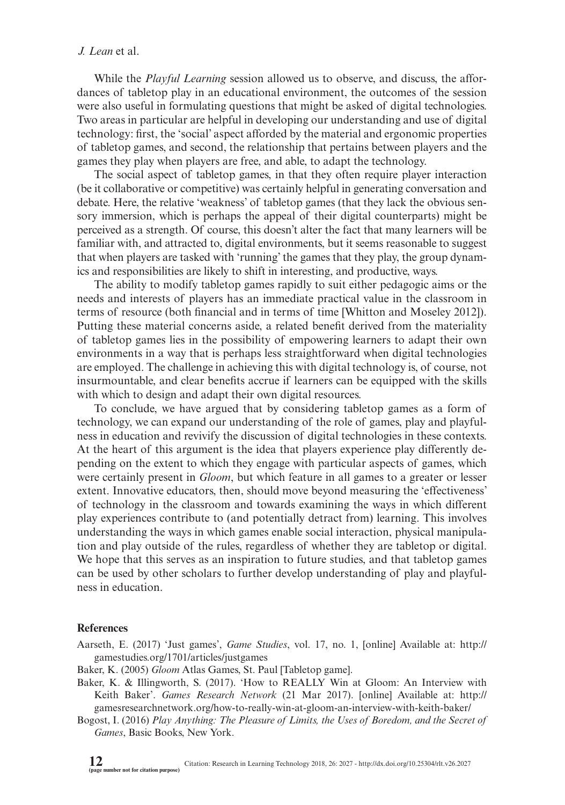While the *Playful Learning* session allowed us to observe, and discuss, the affordances of tabletop play in an educational environment, the outcomes of the session were also useful in formulating questions that might be asked of digital technologies. Two areas in particular are helpful in developing our understanding and use of digital technology: first, the 'social' aspect afforded by the material and ergonomic properties of tabletop games, and second, the relationship that pertains between players and the games they play when players are free, and able, to adapt the technology.

The social aspect of tabletop games, in that they often require player interaction (be it collaborative or competitive) was certainly helpful in generating conversation and debate. Here, the relative 'weakness' of tabletop games (that they lack the obvious sensory immersion, which is perhaps the appeal of their digital counterparts) might be perceived as a strength. Of course, this doesn't alter the fact that many learners will be familiar with, and attracted to, digital environments, but it seems reasonable to suggest that when players are tasked with 'running' the games that they play, the group dynamics and responsibilities are likely to shift in interesting, and productive, ways.

The ability to modify tabletop games rapidly to suit either pedagogic aims or the needs and interests of players has an immediate practical value in the classroom in terms of resource (both financial and in terms of time [Whitton and Moseley 2012]). Putting these material concerns aside, a related benefit derived from the materiality of tabletop games lies in the possibility of empowering learners to adapt their own environments in a way that is perhaps less straightforward when digital technologies are employed. The challenge in achieving this with digital technology is, of course, not insurmountable, and clear benefits accrue if learners can be equipped with the skills with which to design and adapt their own digital resources.

To conclude, we have argued that by considering tabletop games as a form of technology, we can expand our understanding of the role of games, play and playfulness in education and revivify the discussion of digital technologies in these contexts. At the heart of this argument is the idea that players experience play differently depending on the extent to which they engage with particular aspects of games, which were certainly present in *Gloom*, but which feature in all games to a greater or lesser extent. Innovative educators, then, should move beyond measuring the 'effectiveness' of technology in the classroom and towards examining the ways in which different play experiences contribute to (and potentially detract from) learning. This involves understanding the ways in which games enable social interaction, physical manipulation and play outside of the rules, regardless of whether they are tabletop or digital. We hope that this serves as an inspiration to future studies, and that tabletop games can be used by other scholars to further develop understanding of play and playfulness in education.

#### **References**

Aarseth, E. (2017) 'Just games', *Game Studies*, vol. 17, no. 1, [online] Available at: [http://](http://gamestudies.org/1701/articles/justgames) [gamestudies.org/1701/articles/justgames](http://gamestudies.org/1701/articles/justgames)

Baker, K. (2005) *Gloom* Atlas Games, St. Paul [Tabletop game].

Baker, K. & Illingworth, S. (2017). 'How to REALLY Win at Gloom: An Interview with Keith Baker'. *Games Research Network* (21 Mar 2017). [online] Available at: [http://](http://gamesresearchnetwork.org/how-to-really-win-at-gloom-an-interview-with-keith-baker/) [gamesresearchnetwork.org/how-to-really-win-at-gloom-an-interview-with-keith-baker/](http://gamesresearchnetwork.org/how-to-really-win-at-gloom-an-interview-with-keith-baker/)

Bogost, I. (2016) *Play Anything: The Pleasure of Limits, the Uses of Boredom, and the Secret of Games*, Basic Books, New York.